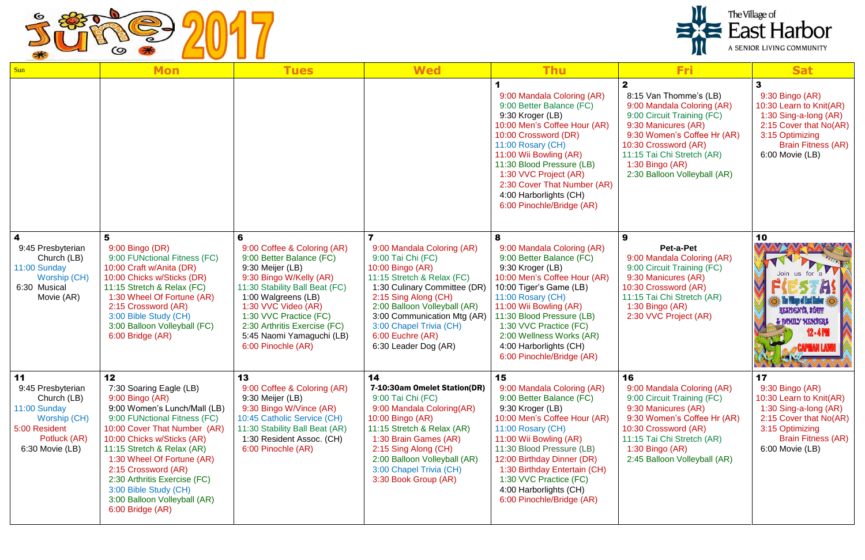

| Sun                                                                                                                        | <b>Mon</b>                                                                                                                                                                                                                                                                                                                                                                     | <b>Tues</b>                                                                                                                                                                                                                                                                                         | <b>Wed</b>                                                                                                                                                                                                                                                                                      | <b>Thu</b>                                                                                                                                                                                                                                                                                                                                  | <b>Fri</b>                                                                                                                                                                                                                                                        | <b>Sat</b>                                                                                                                                                             |  |
|----------------------------------------------------------------------------------------------------------------------------|--------------------------------------------------------------------------------------------------------------------------------------------------------------------------------------------------------------------------------------------------------------------------------------------------------------------------------------------------------------------------------|-----------------------------------------------------------------------------------------------------------------------------------------------------------------------------------------------------------------------------------------------------------------------------------------------------|-------------------------------------------------------------------------------------------------------------------------------------------------------------------------------------------------------------------------------------------------------------------------------------------------|---------------------------------------------------------------------------------------------------------------------------------------------------------------------------------------------------------------------------------------------------------------------------------------------------------------------------------------------|-------------------------------------------------------------------------------------------------------------------------------------------------------------------------------------------------------------------------------------------------------------------|------------------------------------------------------------------------------------------------------------------------------------------------------------------------|--|
|                                                                                                                            |                                                                                                                                                                                                                                                                                                                                                                                |                                                                                                                                                                                                                                                                                                     |                                                                                                                                                                                                                                                                                                 | 9:00 Mandala Coloring (AR)<br>9:00 Better Balance (FC)<br>9:30 Kroger (LB)<br>10:00 Men's Coffee Hour (AR)<br>10:00 Crossword (DR)<br>11:00 Rosary (CH)<br>11:00 Wii Bowling (AR)<br>11:30 Blood Pressure (LB)<br>1:30 VVC Project (AR)<br>2:30 Cover That Number (AR)<br>4:00 Harborlights (CH)<br>6:00 Pinochle/Bridge (AR)               | $\mathbf{2}$<br>8:15 Van Thomme's (LB)<br>9:00 Mandala Coloring (AR)<br>9:00 Circuit Training (FC)<br>9:30 Manicures (AR)<br>9:30 Women's Coffee Hr (AR)<br>10:30 Crossword (AR)<br>11:15 Tai Chi Stretch (AR)<br>1:30 Bingo (AR)<br>2:30 Balloon Volleyball (AR) | 9:30 Bingo (AR)<br>10:30 Learn to Knit(AR)<br>1:30 Sing-a-long (AR)<br>2:15 Cover that No(AR)<br>3:15 Optimizing<br><b>Brain Fitness (AR)</b><br>6:00 Movie (LB)       |  |
| $\boldsymbol{4}$<br>9:45 Presbyterian<br>Church (LB)<br>11:00 Sunday<br>Worship (CH)<br>6:30 Musical<br>Movie (AR)         | 5<br>9:00 Bingo (DR)<br>9:00 FUNctional Fitness (FC)<br>10:00 Craft w/Anita (DR)<br>10:00 Chicks w/Sticks (DR)<br>11:15 Stretch & Relax (FC)<br>1:30 Wheel Of Fortune (AR)<br>2:15 Crossword (AR)<br>3:00 Bible Study (CH)<br>3:00 Balloon Volleyball (FC)<br>6:00 Bridge (AR)                                                                                                 | 9:00 Coffee & Coloring (AR)<br>9:00 Better Balance (FC)<br>9:30 Meijer (LB)<br>9:30 Bingo W/Kelly (AR)<br>11:30 Stability Ball Beat (FC)<br>1:00 Walgreens (LB)<br>1:30 VVC Video (AR)<br>1:30 VVC Practice (FC)<br>2:30 Arthritis Exercise (FC)<br>5:45 Naomi Yamaguchi (LB)<br>6:00 Pinochle (AR) | 9:00 Mandala Coloring (AR)<br>9:00 Tai Chi (FC)<br>10:00 Bingo (AR)<br>11:15 Stretch & Relax (FC)<br>1:30 Culinary Committee (DR)<br>2:15 Sing Along (CH)<br>2:00 Balloon Volleyball (AR)<br>3:00 Communication Mtg (AR)<br>3:00 Chapel Trivia (CH)<br>6:00 Euchre (AR)<br>6:30 Leader Dog (AR) | 8<br>9:00 Mandala Coloring (AR)<br>9:00 Better Balance (FC)<br>9:30 Kroger (LB)<br>10:00 Men's Coffee Hour (AR)<br>10:00 Tiger's Game (LB)<br>11:00 Rosary (CH)<br>11:00 Wii Bowling (AR)<br>11:30 Blood Pressure (LB)<br>1:30 VVC Practice (FC)<br>2:00 Wellness Works (AR)<br>4:00 Harborlights (CH)<br>6:00 Pinochle/Bridge (AR)         | 9<br>Pet-a-Pet<br>9:00 Mandala Coloring (AR)<br>9:00 Circuit Training (FC)<br>9:30 Manicures (AR)<br>10:30 Crossword (AR)<br>11:15 Tai Chi Stretch (AR)<br>1:30 Bingo $(AR)$<br>2:30 VVC Project (AR)                                                             | 10<br>File Village of Eact Harbor 36<br>RESIDENTS, STAFF<br>& BAMILY MEMBERS                                                                                           |  |
| 11<br>9:45 Presbyterian<br>Church (LB)<br>11:00 Sunday<br>Worship (CH)<br>5:00 Resident<br>Potluck (AR)<br>6:30 Movie (LB) | 12<br>7:30 Soaring Eagle (LB)<br>9:00 Bingo (AR)<br>9:00 Women's Lunch/Mall (LB)<br>9:00 FUNctional Fitness (FC)<br>10:00 Cover That Number (AR)<br>10:00 Chicks w/Sticks (AR)<br>11:15 Stretch & Relax (AR)<br>1:30 Wheel Of Fortune (AR)<br>2:15 Crossword (AR)<br>2:30 Arthritis Exercise (FC)<br>3:00 Bible Study (CH)<br>3:00 Balloon Volleyball (AR)<br>6:00 Bridge (AR) | 13<br>9:00 Coffee & Coloring (AR)<br>9:30 Meijer (LB)<br>9:30 Bingo W/Vince (AR)<br>10:45 Catholic Service (CH)<br>11:30 Stability Ball Beat (AR)<br>1:30 Resident Assoc. (CH)<br>6:00 Pinochle (AR)                                                                                                | 14<br>7-10:30am Omelet Station(DR)<br>9:00 Tai Chi (FC)<br>9:00 Mandala Coloring (AR)<br>10:00 Bingo (AR)<br>11:15 Stretch & Relax (AR)<br>1:30 Brain Games (AR)<br>2:15 Sing Along (CH)<br>2:00 Balloon Volleyball (AR)<br>3:00 Chapel Trivia (CH)<br>3:30 Book Group (AR)                     | 15<br>9:00 Mandala Coloring (AR)<br>9:00 Better Balance (FC)<br>9:30 Kroger (LB)<br>10:00 Men's Coffee Hour (AR)<br>11:00 Rosary (CH)<br>11:00 Wii Bowling (AR)<br>11:30 Blood Pressure (LB)<br>12:00 Birthday Dinner (DR)<br>1:30 Birthday Entertain (CH)<br>1:30 VVC Practice (FC)<br>4:00 Harborlights (CH)<br>6:00 Pinochle/Bridge (AR) | 16<br>9:00 Mandala Coloring (AR)<br>9:00 Circuit Training (FC)<br>9:30 Manicures (AR)<br>9:30 Women's Coffee Hr (AR)<br>10:30 Crossword (AR)<br>11:15 Tai Chi Stretch (AR)<br>1:30 Bingo $(AR)$<br>2:45 Balloon Volleyball (AR)                                   | 17<br>9:30 Bingo (AR)<br>10:30 Learn to Knit(AR)<br>1:30 Sing-a-long (AR)<br>2:15 Cover that No(AR)<br>3:15 Optimizing<br><b>Brain Fitness (AR)</b><br>6:00 Movie (LB) |  |

## The Village of<br> **East Harbor**  $\blacksquare$ A SENIOR LIVING COMMUNITY D U